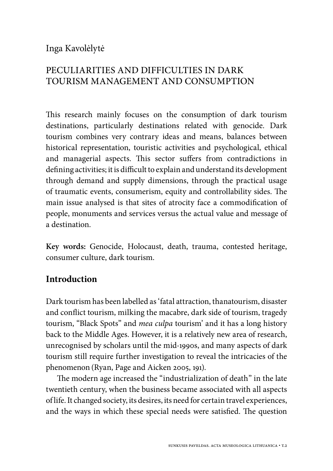# Inga Kavolėlytė

# Peculiarities and Difficulties in Dark Tourism Management and Consumption

This research mainly focuses on the consumption of dark tourism destinations, particularly destinations related with genocide. Dark tourism combines very contrary ideas and means, balances between historical representation, touristic activities and psychological, ethical and managerial aspects. This sector suffers from contradictions in defining activities; it is difficult to explain and understand its development through demand and supply dimensions, through the practical usage of traumatic events, consumerism, equity and controllability sides. The main issue analysed is that sites of atrocity face a commodification of people, monuments and services versus the actual value and message of a destination.

**Key words:** Genocide, Holocaust, death, trauma, contested heritage, consumer culture, dark tourism.

# **Introduction**

Dark tourism has been labelled as 'fatal attraction, thanatourism, disaster and conflict tourism, milking the macabre, dark side of tourism, tragedy tourism, "Black Spots" and *mea culpa* tourism' and it has a long history back to the Middle Ages. However, it is a relatively new area of research, unrecognised by scholars until the mid-1990s, and many aspects of dark tourism still require further investigation to reveal the intricacies of the phenomenon (Ryan, Page and Aicken 2005, 191).

The modern age increased the "industrialization of death" in the late twentieth century, when the business became associated with all aspects of life. It changed society, its desires, its need for certain travel experiences, and the ways in which these special needs were satisfied. The question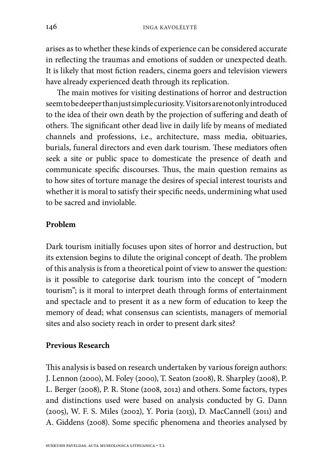arises as to whether these kinds of experience can be considered accurate in reflecting the traumas and emotions of sudden or unexpected death. It is likely that most fiction readers, cinema goers and television viewers have already experienced death through its replication.

The main motives for visiting destinations of horror and destruction seem to be deeper than just simple curiosity. Visitors are not only introduced to the idea of their own death by the projection of suffering and death of others. The significant other dead live in daily life by means of mediated channels and professions, i.e., architecture, mass media, obituaries, burials, funeral directors and even dark tourism. These mediators often seek a site or public space to domesticate the presence of death and communicate specific discourses. Thus, the main question remains as to how sites of torture manage the desires of special interest tourists and whether it is moral to satisfy their specific needs, undermining what used to be sacred and inviolable.

### **Problem**

Dark tourism initially focuses upon sites of horror and destruction, but its extension begins to dilute the original concept of death. The problem of this analysis is from a theoretical point of view to answer the question: is it possible to categorise dark tourism into the concept of "modern tourism"; is it moral to interpret death through forms of entertainment and spectacle and to present it as a new form of education to keep the memory of dead; what consensus can scientists, managers of memorial sites and also society reach in order to present dark sites?

#### **Previous Research**

This analysis is based on research undertaken by various foreign authors: J. Lennon (2000), M. Foley (2000), T. Seaton (2008), R. Sharpley (2008), P. L. Berger (2008), P. R. Stone (2008, 2012) and others. Some factors, types and distinctions used were based on analysis conducted by G. Dann (2005), W. F. S. Miles (2002), Y. Poria (2013), D. MacCannell (2011) and A. Giddens (2008). Some specific phenomena and theories analysed by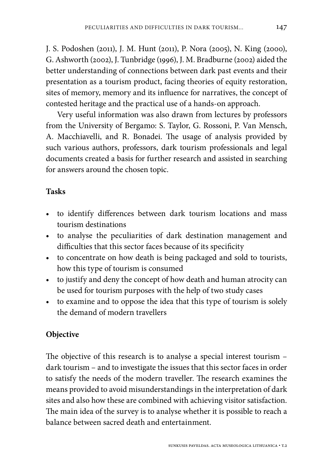J. S. Podoshen (2011), J. M. Hunt (2011), P. Nora (2005), N. King (2000), G. Ashworth (2002), J. Tunbridge (1996), J. M. Bradburne (2002) aided the better understanding of connections between dark past events and their presentation as a tourism product, facing theories of equity restoration, sites of memory, memory and its influence for narratives, the concept of contested heritage and the practical use of a hands-on approach.

Very useful information was also drawn from lectures by professors from the University of Bergamo: S. Taylor, G. Rossoni, P. Van Mensch, A. Macchiavelli, and R. Bonadei. The usage of analysis provided by such various authors, professors, dark tourism professionals and legal documents created a basis for further research and assisted in searching for answers around the chosen topic.

## **Tasks**

- to identify differences between dark tourism locations and mass tourism destinations
- to analyse the peculiarities of dark destination management and difficulties that this sector faces because of its specificity
- to concentrate on how death is being packaged and sold to tourists, how this type of tourism is consumed
- to justify and deny the concept of how death and human atrocity can be used for tourism purposes with the help of two study cases
- to examine and to oppose the idea that this type of tourism is solely the demand of modern travellers

# **Objective**

The objective of this research is to analyse a special interest tourism – dark tourism – and to investigate the issues that this sector faces in order to satisfy the needs of the modern traveller. The research examines the means provided to avoid misunderstandings in the interpretation of dark sites and also how these are combined with achieving visitor satisfaction. The main idea of the survey is to analyse whether it is possible to reach a balance between sacred death and entertainment.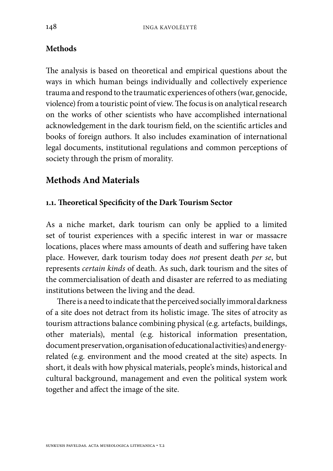### **Methods**

The analysis is based on theoretical and empirical questions about the ways in which human beings individually and collectively experience trauma and respond to the traumatic experiences of others (war, genocide, violence) from a touristic point of view. The focus is on analytical research on the works of other scientists who have accomplished international acknowledgement in the dark tourism field, on the scientific articles and books of foreign authors. It also includes examination of international legal documents, institutional regulations and common perceptions of society through the prism of morality.

## **Methods And Materials**

### **1.1. Theoretical Specificity of the Dark Tourism Sector**

As a niche market, dark tourism can only be applied to a limited set of tourist experiences with a specific interest in war or massacre locations, places where mass amounts of death and suffering have taken place. However, dark tourism today does *not* present death *per se*, but represents *certain kinds* of death. As such, dark tourism and the sites of the commercialisation of death and disaster are referred to as mediating institutions between the living and the dead.

There is a need to indicate that the perceived socially immoral darkness of a site does not detract from its holistic image. The sites of atrocity as tourism attractions balance combining physical (e.g. artefacts, buildings, other materials), mental (e.g. historical information presentation, document preservation, organisation of educational activities) and energyrelated (e.g. environment and the mood created at the site) aspects. In short, it deals with how physical materials, people's minds, historical and cultural background, management and even the political system work together and affect the image of the site.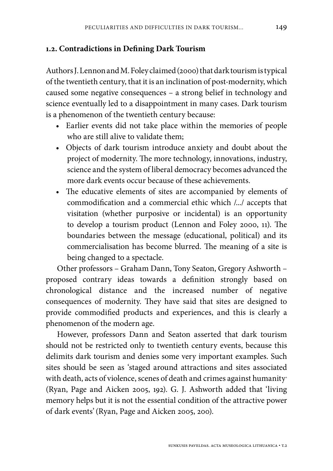### **1.2. Contradictions in Defining Dark Tourism**

Authors J. Lennon and M. Foley claimed (2000) that dark tourism is typical of the twentieth century, that it is an inclination of post-modernity, which caused some negative consequences – a strong belief in technology and science eventually led to a disappointment in many cases. Dark tourism is a phenomenon of the twentieth century because:

- Earlier events did not take place within the memories of people who are still alive to validate them;
- Objects of dark tourism introduce anxiety and doubt about the project of modernity. The more technology, innovations, industry, science and the system of liberal democracy becomes advanced the more dark events occur because of these achievements.
- The educative elements of sites are accompanied by elements of commodification and a commercial ethic which /.../ accepts that visitation (whether purposive or incidental) is an opportunity to develop a tourism product (Lennon and Foley 2000, 11). The boundaries between the message (educational, political) and its commercialisation has become blurred. The meaning of a site is being changed to a spectacle.

Other professors – Graham Dann, Tony Seaton, Gregory Ashworth – proposed contrary ideas towards a definition strongly based on chronological distance and the increased number of negative consequences of modernity. They have said that sites are designed to provide commodified products and experiences, and this is clearly a phenomenon of the modern age.

However, professors Dann and Seaton asserted that dark tourism should not be restricted only to twentieth century events, because this delimits dark tourism and denies some very important examples. Such sites should be seen as 'staged around attractions and sites associated with death, acts of violence, scenes of death and crimes against humanity' (Ryan, Page and Aicken 2005, 192). G. J. Ashworth added that 'living memory helps but it is not the essential condition of the attractive power of dark events'(Ryan, Page and Aicken 2005, 200).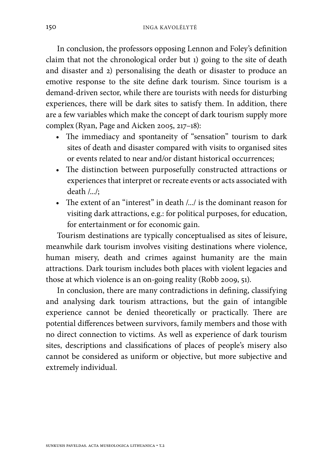In conclusion, the professors opposing Lennon and Foley's definition claim that not the chronological order but 1) going to the site of death and disaster and 2) personalising the death or disaster to produce an emotive response to the site define dark tourism. Since tourism is a demand-driven sector, while there are tourists with needs for disturbing experiences, there will be dark sites to satisfy them. In addition, there are a few variables which make the concept of dark tourism supply more complex (Ryan, Page and Aicken 2005, 217–18):

- The immediacy and spontaneity of "sensation" tourism to dark sites of death and disaster compared with visits to organised sites or events related to near and/or distant historical occurrences;
- The distinction between purposefully constructed attractions or experiences that interpret or recreate events or acts associated with death /.../;
- The extent of an "interest" in death  $\mu$ , is the dominant reason for visiting dark attractions, e.g.: for political purposes, for education, for entertainment or for economic gain.

Tourism destinations are typically conceptualised as sites of leisure, meanwhile dark tourism involves visiting destinations where violence, human misery, death and crimes against humanity are the main attractions. Dark tourism includes both places with violent legacies and those at which violence is an on-going reality (Robb 2009, 51).

In conclusion, there are many contradictions in defining, classifying and analysing dark tourism attractions, but the gain of intangible experience cannot be denied theoretically or practically. There are potential differences between survivors, family members and those with no direct connection to victims. As well as experience of dark tourism sites, descriptions and classifications of places of people's misery also cannot be considered as uniform or objective, but more subjective and extremely individual.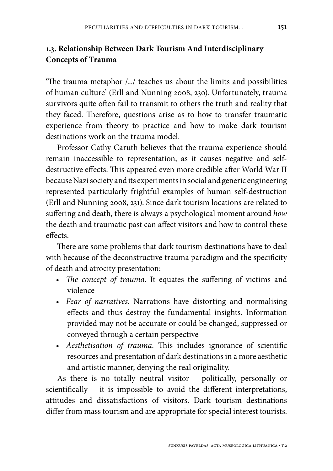## **1.3. Relationship Between Dark Tourism And Interdisciplinary Concepts of Trauma**

**'**The trauma metaphor /.../ teaches us about the limits and possibilities of human culture' (Erll and Nunning 2008, 230). Unfortunately, trauma survivors quite often fail to transmit to others the truth and reality that they faced. Therefore, questions arise as to how to transfer traumatic experience from theory to practice and how to make dark tourism destinations work on the trauma model.

Professor Cathy Caruth believes that the trauma experience should remain inaccessible to representation, as it causes negative and selfdestructive effects. This appeared even more credible after World War II because Nazi society and its experiments in social and generic engineering represented particularly frightful examples of human self-destruction (Erll and Nunning 2008, 231). Since dark tourism locations are related to suffering and death, there is always a psychological moment around *how* the death and traumatic past can affect visitors and how to control these effects.

There are some problems that dark tourism destinations have to deal with because of the deconstructive trauma paradigm and the specificity of death and atrocity presentation:

- *• The concept of trauma*. It equates the suffering of victims and violence
- *• Fear of narratives*. Narrations have distorting and normalising effects and thus destroy the fundamental insights. Information provided may not be accurate or could be changed, suppressed or conveyed through a certain perspective
- *• Aesthetisation of trauma.* This includes ignorance of scientific resources and presentation of dark destinations in a more aesthetic and artistic manner, denying the real originality.

As there is no totally neutral visitor – politically, personally or scientifically – it is impossible to avoid the different interpretations, attitudes and dissatisfactions of visitors. Dark tourism destinations differ from mass tourism and are appropriate for special interest tourists.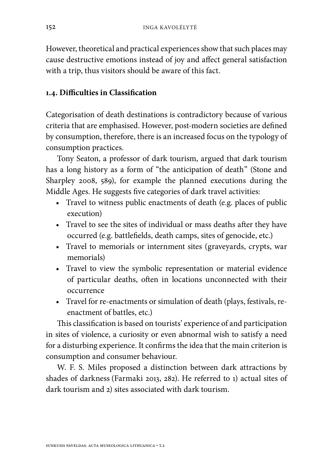However, theoretical and practical experiences show that such places may cause destructive emotions instead of joy and affect general satisfaction with a trip, thus visitors should be aware of this fact.

### **1.4. Difficulties in Classification**

Categorisation of death destinations is contradictory because of various criteria that are emphasised. However, post-modern societies are defined by consumption, therefore, there is an increased focus on the typology of consumption practices.

Tony Seaton, a professor of dark tourism, argued that dark tourism has a long history as a form of "the anticipation of death" (Stone and Sharpley 2008, 589), for example the planned executions during the Middle Ages. He suggests five categories of dark travel activities:

- Travel to witness public enactments of death (e.g. places of public execution)
- Travel to see the sites of individual or mass deaths after they have occurred (e.g. battlefields, death camps, sites of genocide, etc.)
- Travel to memorials or internment sites (graveyards, crypts, war memorials)
- Travel to view the symbolic representation or material evidence of particular deaths, often in locations unconnected with their occurrence
- Travel for re-enactments or simulation of death (plays, festivals, reenactment of battles, etc.)

This classification is based on tourists' experience of and participation in sites of violence, a curiosity or even abnormal wish to satisfy a need for a disturbing experience. It confirms the idea that the main criterion is consumption and consumer behaviour.

W. F. S. Miles proposed a distinction between dark attractions by shades of darkness (Farmaki 2013, 282). He referred to 1) actual sites of dark tourism and 2) sites associated with dark tourism.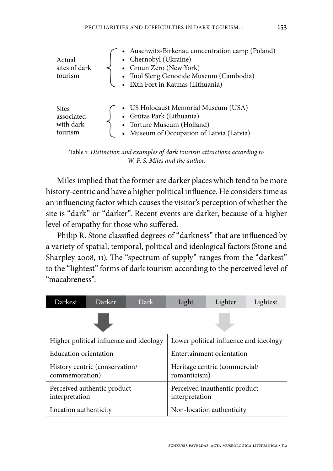| Actual<br>sites of dark<br>tourism | • Auschwitz-Birkenau concentration camp (Poland)<br>• Chernobyl (Ukraine)<br>• Groun Zero (New York)<br>• Tuol Sleng Genocide Museum (Cambodia)<br>• IXth Fort in Kaunas (Lithuania) |
|------------------------------------|--------------------------------------------------------------------------------------------------------------------------------------------------------------------------------------|
| <b>Sites</b>                       | • US Holocaust Memorial Museum (USA)                                                                                                                                                 |
| associated                         | • Grūtas Park (Lithuania)                                                                                                                                                            |
| with dark                          | • Torture Museum (Holland)                                                                                                                                                           |
| tourism                            | • Museum of Occupation of Latvia (Latvia)                                                                                                                                            |

Table 1: *Distinction and examples of dark tourism attractions according to W. F. S. Miles and the author.*

Miles implied that the former are darker places which tend to be more history-centric and have a higher political influence. He considers time as an influencing factor which causes the visitor's perception of whether the site is "dark" or "darker". Recent events are darker, because of a higher level of empathy for those who suffered.

Philip R. Stone classified degrees of "darkness" that are influenced by a variety of spatial, temporal, political and ideological factors(Stone and Sharpley 2008, 11). The "spectrum of supply" ranges from the "darkest" to the "lightest" forms of dark tourism according to the perceived level of "macabreness":

| Darkest                                          | Darker | Dark | Light                                           | Lighter | Lightest |
|--------------------------------------------------|--------|------|-------------------------------------------------|---------|----------|
|                                                  |        |      |                                                 |         |          |
| Higher political influence and ideology          |        |      | Lower political influence and ideology          |         |          |
| <b>Education orientation</b>                     |        |      | Entertainment orientation                       |         |          |
| History centric (conservation/<br>commemoration) |        |      | Heritage centric (commercial/<br>romanticism)   |         |          |
| Perceived authentic product<br>interpretation    |        |      | Perceived inauthentic product<br>interpretation |         |          |
| Location authenticity                            |        |      | Non-location authenticity                       |         |          |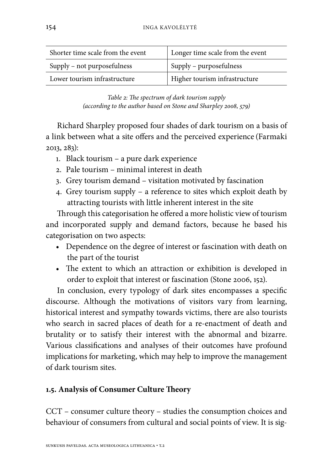| Shorter time scale from the event | Longer time scale from the event |  |  |
|-----------------------------------|----------------------------------|--|--|
| Supply – not purposefulness       | Supply – purposefulness          |  |  |
| Lower tourism infrastructure      | Higher tourism infrastructure    |  |  |

*Table 2: The spectrum of dark tourism supply (according to the author based on Stone and Sharpley 2008, 579)*

Richard Sharpley proposed four shades of dark tourism on a basis of a link between what a site offers and the perceived experience (Farmaki 2013, 283):

- 1. Black tourism a pure dark experience
- 2. Pale tourism minimal interest in death
- 3. Grey tourism demand visitation motivated by fascination
- 4. Grey tourism supply a reference to sites which exploit death by attracting tourists with little inherent interest in the site

Through this categorisation he offered a more holistic view of tourism and incorporated supply and demand factors, because he based his categorisation on two aspects:

- Dependence on the degree of interest or fascination with death on the part of the tourist
- The extent to which an attraction or exhibition is developed in order to exploit that interest or fascination (Stone 2006, 152).

In conclusion, every typology of dark sites encompasses a specific discourse. Although the motivations of visitors vary from learning, historical interest and sympathy towards victims, there are also tourists who search in sacred places of death for a re-enactment of death and brutality or to satisfy their interest with the abnormal and bizarre. Various classifications and analyses of their outcomes have profound implications for marketing, which may help to improve the management of dark tourism sites.

## **1.5. Analysis of Consumer Culture Theory**

CCT – consumer culture theory – studies the consumption choices and behaviour of consumers from cultural and social points of view. It is sig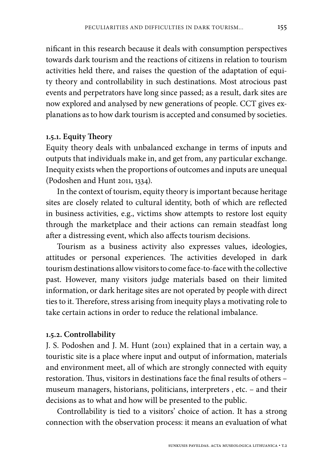nificant in this research because it deals with consumption perspectives towards dark tourism and the reactions of citizens in relation to tourism activities held there, and raises the question of the adaptation of equity theory and controllability in such destinations. Most atrocious past events and perpetrators have long since passed; as a result, dark sites are now explored and analysed by new generations of people. CCT gives explanations as to how dark tourism is accepted and consumed by societies.

### **1.5.1. Equity Theory**

Equity theory deals with unbalanced exchange in terms of inputs and outputs that individuals make in, and get from, any particular exchange. Inequity exists when the proportions of outcomes and inputs are unequal (Podoshen and Hunt 2011, 1334).

In the context of tourism, equity theory is important because heritage sites are closely related to cultural identity, both of which are reflected in business activities, e.g., victims show attempts to restore lost equity through the marketplace and their actions can remain steadfast long after a distressing event, which also affects tourism decisions.

Tourism as a business activity also expresses values, ideologies, attitudes or personal experiences. The activities developed in dark tourism destinations allow visitors to come face-to-face with the collective past. However, many visitors judge materials based on their limited information, or dark heritage sites are not operated by people with direct ties to it. Therefore, stress arising from inequity plays a motivating role to take certain actions in order to reduce the relational imbalance.

### **1.5.2. Controllability**

J. S. Podoshen and J. M. Hunt (2011) explained that in a certain way, a touristic site is a place where input and output of information, materials and environment meet, all of which are strongly connected with equity restoration. Thus, visitors in destinations face the final results of others – museum managers, historians, politicians, interpreters , etc. – and their decisions as to what and how will be presented to the public.

Controllability is tied to a visitors' choice of action. It has a strong connection with the observation process: it means an evaluation of what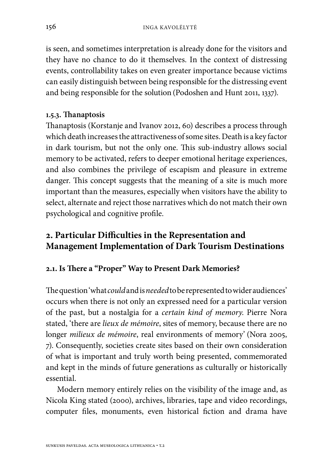is seen, and sometimes interpretation is already done for the visitors and they have no chance to do it themselves. In the context of distressing events, controllability takes on even greater importance because victims can easily distinguish between being responsible for the distressing event and being responsible for the solution (Podoshen and Hunt 2011, 1337).

### **1.5.3. Thanaptosis**

Thanaptosis (Korstanje and Ivanov 2012, 60) describes a process through which death increases the attractiveness of some sites. Death is a key factor in dark tourism, but not the only one. This sub-industry allows social memory to be activated, refers to deeper emotional heritage experiences, and also combines the privilege of escapism and pleasure in extreme danger. This concept suggests that the meaning of a site is much more important than the measures, especially when visitors have the ability to select, alternate and reject those narratives which do not match their own psychological and cognitive profile.

# **2. Particular Difficulties in the Representation and Management Implementation of Dark Tourism Destinations**

### **2.1. Is There a "Proper" Way to Present Dark Memories?**

The question 'what *could* and is *needed* to be represented to wider audiences' occurs when there is not only an expressed need for a particular version of the past, but a nostalgia for a *certain kind of memory*. Pierre Nora stated, 'there are *lieux de mémoire*, sites of memory, because there are no longer *milieux de mémoire*, real environments of memory' (Nora 2005, 7). Consequently, societies create sites based on their own consideration of what is important and truly worth being presented, commemorated and kept in the minds of future generations as culturally or historically essential.

Modern memory entirely relies on the visibility of the image and, as Nicola King stated (2000), archives, libraries, tape and video recordings, computer files, monuments, even historical fiction and drama have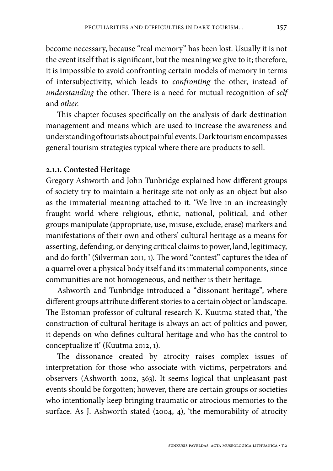become necessary, because "real memory" has been lost. Usually it is not the event itself that is significant, but the meaning we give to it; therefore, it is impossible to avoid confronting certain models of memory in terms of intersubjectivity, which leads to *confronting* the other, instead of *understanding* the other. There is a need for mutual recognition of *self* and *other*.

This chapter focuses specifically on the analysis of dark destination management and means which are used to increase the awareness and understanding of tourists about painful events. Dark tourism encompasses general tourism strategies typical where there are products to sell.

### **2.1.1. Contested Heritage**

Gregory Ashworth and John Tunbridge explained how different groups of society try to maintain a heritage site not only as an object but also as the immaterial meaning attached to it. 'We live in an increasingly fraught world where religious, ethnic, national, political, and other groups manipulate (appropriate, use, misuse, exclude, erase) markers and manifestations of their own and others' cultural heritage as a means for asserting, defending, or denying critical claims to power, land, legitimacy, and do forth' (Silverman 2011, 1). The word "contest" captures the idea of a quarrel over a physical body itself and its immaterial components, since communities are not homogeneous, and neither is their heritage.

Ashworth and Tunbridge introduced a "dissonant heritage", where different groups attribute different stories to a certain object or landscape. The Estonian professor of cultural research K. Kuutma stated that, 'the construction of cultural heritage is always an act of politics and power, it depends on who defines cultural heritage and who has the control to conceptualize it' (Kuutma 2012, 1).

The dissonance created by atrocity raises complex issues of interpretation for those who associate with victims, perpetrators and observers (Ashworth 2002, 363). It seems logical that unpleasant past events should be forgotten; however, there are certain groups or societies who intentionally keep bringing traumatic or atrocious memories to the surface. As J. Ashworth stated (2004, 4), 'the memorability of atrocity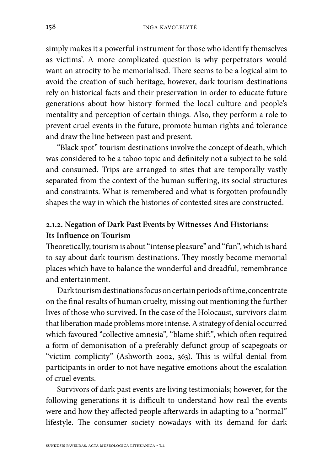simply makes it a powerful instrument for those who identify themselves as victims'. A more complicated question is why perpetrators would want an atrocity to be memorialised. There seems to be a logical aim to avoid the creation of such heritage, however, dark tourism destinations rely on historical facts and their preservation in order to educate future generations about how history formed the local culture and people's mentality and perception of certain things. Also, they perform a role to prevent cruel events in the future, promote human rights and tolerance and draw the line between past and present.

"Black spot" tourism destinations involve the concept of death, which was considered to be a taboo topic and definitely not a subject to be sold and consumed. Trips are arranged to sites that are temporally vastly separated from the context of the human suffering, its social structures and constraints. What is remembered and what is forgotten profoundly shapes the way in which the histories of contested sites are constructed.

## **2.1.2. Negation of Dark Past Events by Witnesses And Historians: Its Influence on Tourism**

Theoretically, tourism is about "intense pleasure" and "fun", which is hard to say about dark tourism destinations. They mostly become memorial places which have to balance the wonderful and dreadful, remembrance and entertainment.

Dark tourism destinations focus on certain periods of time, concentrate on the final results of human cruelty, missing out mentioning the further lives of those who survived. In the case of the Holocaust, survivors claim that liberation made problems more intense. A strategy of denial occurred which favoured "collective amnesia", "blame shift", which often required a form of demonisation of a preferably defunct group of scapegoats or "victim complicity" (Ashworth 2002, 363). This is wilful denial from participants in order to not have negative emotions about the escalation of cruel events.

Survivors of dark past events are living testimonials; however, for the following generations it is difficult to understand how real the events were and how they affected people afterwards in adapting to a "normal" lifestyle. The consumer society nowadays with its demand for dark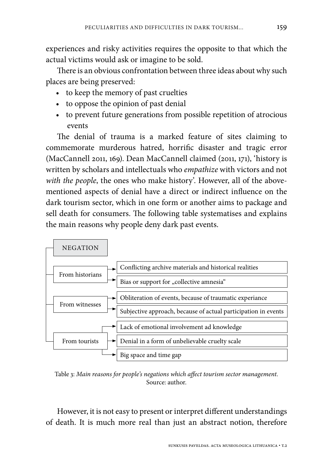experiences and risky activities requires the opposite to that which the actual victims would ask or imagine to be sold.

There is an obvious confrontation between three ideas about why such places are being preserved:

- to keep the memory of past cruelties
- to oppose the opinion of past denial
- to prevent future generations from possible repetition of atrocious events

The denial of trauma is a marked feature of sites claiming to commemorate murderous hatred, horrific disaster and tragic error (MacCannell 2011, 169). Dean MacCannell claimed (2011, 171), 'history is written by scholars and intellectuals who *empathize* with victors and not *with the people*, the ones who make history'. However, all of the abovementioned aspects of denial have a direct or indirect influence on the dark tourism sector, which in one form or another aims to package and sell death for consumers. The following table systematises and explains the main reasons why people deny dark past events.



Table 3: *Main reasons for people's negations which affect tourism sector management.*  Source: author.

However, it is not easy to present or interpret different understandings of death. It is much more real than just an abstract notion, therefore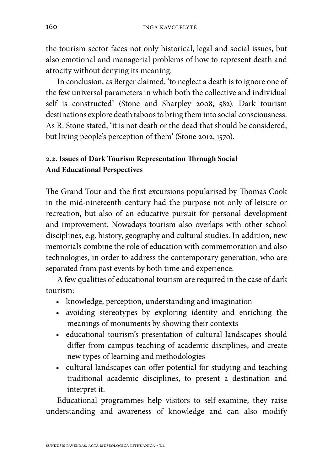the tourism sector faces not only historical, legal and social issues, but also emotional and managerial problems of how to represent death and atrocity without denying its meaning.

In conclusion, as Berger claimed, 'to neglect a death is to ignore one of the few universal parameters in which both the collective and individual self is constructed' (Stone and Sharpley 2008, 582). Dark tourism destinations explore death taboos to bring them into social consciousness. As R. Stone stated, 'it is not death or the dead that should be considered, but living people's perception of them' (Stone 2012, 1570).

### **2.2. Issues of Dark Tourism Representation Through Social And Educational Perspectives**

The Grand Tour and the first excursions popularised by Thomas Cook in the mid-nineteenth century had the purpose not only of leisure or recreation, but also of an educative pursuit for personal development and improvement. Nowadays tourism also overlaps with other school disciplines, e.g. history, geography and cultural studies. In addition, new memorials combine the role of education with commemoration and also technologies, in order to address the contemporary generation, who are separated from past events by both time and experience.

A few qualities of educational tourism are required in the case of dark tourism:

- knowledge, perception, understanding and imagination
- avoiding stereotypes by exploring identity and enriching the meanings of monuments by showing their contexts
- educational tourism's presentation of cultural landscapes should differ from campus teaching of academic disciplines, and create new types of learning and methodologies
- cultural landscapes can offer potential for studying and teaching traditional academic disciplines, to present a destination and interpret it.

Educational programmes help visitors to self-examine, they raise understanding and awareness of knowledge and can also modify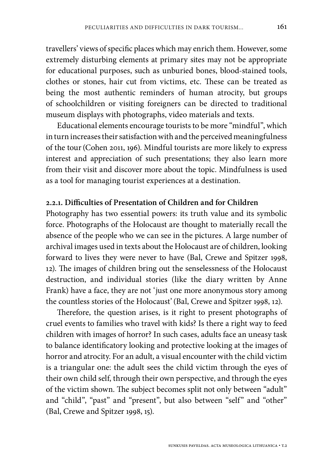travellers' views of specific places which may enrich them. However, some extremely disturbing elements at primary sites may not be appropriate for educational purposes, such as unburied bones, blood-stained tools, clothes or stones, hair cut from victims, etc. These can be treated as being the most authentic reminders of human atrocity, but groups of schoolchildren or visiting foreigners can be directed to traditional museum displays with photographs, video materials and texts.

Educational elements encourage tourists to be more "mindful", which in turn increases their satisfaction with and the perceived meaningfulness of the tour(Cohen 2011, 196). Mindful tourists are more likely to express interest and appreciation of such presentations; they also learn more from their visit and discover more about the topic. Mindfulness is used as a tool for managing tourist experiences at a destination.

### **2.2.1. Difficulties of Presentation of Children and for Children**

Photography has two essential powers: its truth value and its symbolic force. Photographs of the Holocaust are thought to materially recall the absence of the people who we can see in the pictures. A large number of archival images used in texts about the Holocaust are of children, looking forward to lives they were never to have (Bal, Crewe and Spitzer 1998, 12). The images of children bring out the senselessness of the Holocaust destruction, and individual stories (like the diary written by Anne Frank) have a face, they are not 'just one more anonymous story among the countless stories of the Holocaust'(Bal, Crewe and Spitzer 1998, 12).

Therefore, the question arises, is it right to present photographs of cruel events to families who travel with kids? Is there a right way to feed children with images of horror? In such cases, adults face an uneasy task to balance identificatory looking and protective looking at the images of horror and atrocity. For an adult, a visual encounter with the child victim is a triangular one: the adult sees the child victim through the eyes of their own child self, through their own perspective, and through the eyes of the victim shown. The subject becomes split not only between "adult" and "child", "past" and "present", but also between "self" and "other" (Bal, Crewe and Spitzer 1998, 15).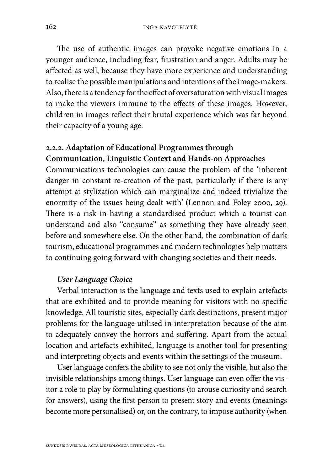The use of authentic images can provoke negative emotions in a younger audience, including fear, frustration and anger. Adults may be affected as well, because they have more experience and understanding to realise the possible manipulations and intentions of the image-makers. Also, there is a tendency for the effect of oversaturation with visual images to make the viewers immune to the effects of these images. However, children in images reflect their brutal experience which was far beyond their capacity of a young age.

# **2.2.2. Adaptation of Educational Programmes through Communication, Linguistic Context and Hands-on Approaches**

Communications technologies can cause the problem of the 'inherent danger in constant re-creation of the past, particularly if there is any attempt at stylization which can marginalize and indeed trivialize the enormity of the issues being dealt with' (Lennon and Foley 2000, 29). There is a risk in having a standardised product which a tourist can understand and also "consume" as something they have already seen before and somewhere else. On the other hand, the combination of dark tourism, educational programmes and modern technologies help matters to continuing going forward with changing societies and their needs.

#### *User Language Choice*

Verbal interaction is the language and texts used to explain artefacts that are exhibited and to provide meaning for visitors with no specific knowledge. All touristic sites, especially dark destinations, present major problems for the language utilised in interpretation because of the aim to adequately convey the horrors and suffering. Apart from the actual location and artefacts exhibited, language is another tool for presenting and interpreting objects and events within the settings of the museum.

User language confers the ability to see not only the visible, but also the invisible relationships among things. User language can even offer the visitor a role to play by formulating questions (to arouse curiosity and search for answers), using the first person to present story and events (meanings become more personalised) or, on the contrary, to impose authority (when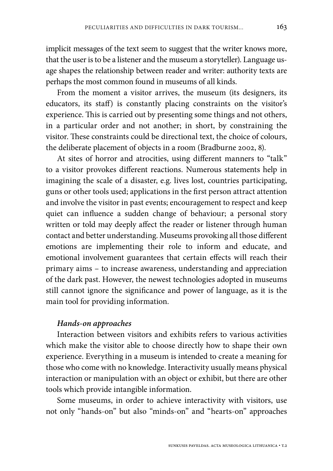implicit messages of the text seem to suggest that the writer knows more, that the user is to be a listener and the museum a storyteller). Language usage shapes the relationship between reader and writer: authority texts are perhaps the most common found in museums of all kinds.

From the moment a visitor arrives, the museum (its designers, its educators, its staff) is constantly placing constraints on the visitor's experience. This is carried out by presenting some things and not others, in a particular order and not another; in short, by constraining the visitor. These constraints could be directional text, the choice of colours, the deliberate placement of objects in a room (Bradburne 2002, 8).

At sites of horror and atrocities, using different manners to "talk" to a visitor provokes different reactions. Numerous statements help in imagining the scale of a disaster, e.g. lives lost, countries participating, guns or other tools used; applications in the first person attract attention and involve the visitor in past events; encouragement to respect and keep quiet can influence a sudden change of behaviour; a personal story written or told may deeply affect the reader or listener through human contact and better understanding. Museums provoking all those different emotions are implementing their role to inform and educate, and emotional involvement guarantees that certain effects will reach their primary aims – to increase awareness, understanding and appreciation of the dark past. However, the newest technologies adopted in museums still cannot ignore the significance and power of language, as it is the main tool for providing information.

### *Hands-on approaches*

Interaction between visitors and exhibits refers to various activities which make the visitor able to choose directly how to shape their own experience. Everything in a museum is intended to create a meaning for those who come with no knowledge. Interactivity usually means physical interaction or manipulation with an object or exhibit, but there are other tools which provide intangible information.

Some museums, in order to achieve interactivity with visitors, use not only "hands-on" but also "minds-on" and "hearts-on" approaches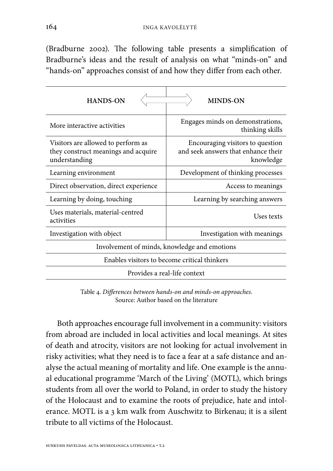(Bradburne 2002). The following table presents a simplification of Bradburne's ideas and the result of analysis on what "minds-on" and "hands-on" approaches consist of and how they differ from each other.

| <b>HANDS-ON</b>                                                                            | <b>MINDS-ON</b>                                                                      |  |  |  |
|--------------------------------------------------------------------------------------------|--------------------------------------------------------------------------------------|--|--|--|
| More interactive activities                                                                | Engages minds on demonstrations,<br>thinking skills                                  |  |  |  |
| Visitors are allowed to perform as<br>they construct meanings and acquire<br>understanding | Encouraging visitors to question<br>and seek answers that enhance their<br>knowledge |  |  |  |
| Learning environment                                                                       | Development of thinking processes                                                    |  |  |  |
| Direct observation, direct experience                                                      | Access to meanings                                                                   |  |  |  |
| Learning by doing, touching                                                                | Learning by searching answers                                                        |  |  |  |
| Uses materials, material-centred<br>activities                                             | Uses texts                                                                           |  |  |  |
| Investigation with object                                                                  | Investigation with meanings                                                          |  |  |  |
| Involvement of minds, knowledge and emotions                                               |                                                                                      |  |  |  |
| Enables visitors to become critical thinkers                                               |                                                                                      |  |  |  |
| Provides a real-life context                                                               |                                                                                      |  |  |  |

Table 4. *Differences between hands-on and minds-on approaches.*  Source: Author based on the literature

Both approaches encourage full involvement in a community: visitors from abroad are included in local activities and local meanings. At sites of death and atrocity, visitors are not looking for actual involvement in risky activities; what they need is to face a fear at a safe distance and analyse the actual meaning of mortality and life. One example is the annual educational programme 'March of the Living' (MOTL), which brings students from all over the world to Poland, in order to study the history of the Holocaust and to examine the roots of prejudice, hate and intolerance. MOTL is a 3 km walk from Auschwitz to Birkenau; it is a silent tribute to all victims of the Holocaust.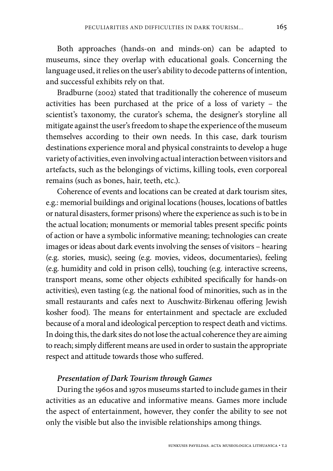Both approaches (hands-on and minds-on) can be adapted to museums, since they overlap with educational goals. Concerning the language used, it relies on the user's ability to decode patterns of intention, and successful exhibits rely on that.

Bradburne (2002) stated that traditionally the coherence of museum activities has been purchased at the price of a loss of variety – the scientist's taxonomy, the curator's schema, the designer's storyline all mitigate against the user's freedom to shape the experience of the museum themselves according to their own needs. In this case, dark tourism destinations experience moral and physical constraints to develop a huge variety of activities, even involving actual interaction between visitors and artefacts, such as the belongings of victims, killing tools, even corporeal remains (such as bones, hair, teeth, etc.).

Coherence of events and locations can be created at dark tourism sites, e.g.: memorial buildings and original locations (houses, locations of battles or natural disasters, former prisons) where the experience as such is to be in the actual location; monuments or memorial tables present specific points of action or have a symbolic informative meaning; technologies can create images or ideas about dark events involving the senses of visitors – hearing (e.g. stories, music), seeing (e.g. movies, videos, documentaries), feeling (e.g. humidity and cold in prison cells), touching (e.g. interactive screens, transport means, some other objects exhibited specifically for hands-on activities), even tasting (e.g. the national food of minorities, such as in the small restaurants and cafes next to Auschwitz-Birkenau offering Jewish kosher food). The means for entertainment and spectacle are excluded because of a moral and ideological perception to respect death and victims. In doing this, the dark sites do not lose the actual coherence they are aiming to reach; simply different means are used in order to sustain the appropriate respect and attitude towards those who suffered.

#### *Presentation of Dark Tourism through Games*

During the 1960s and 1970s museums started to include games in their activities as an educative and informative means. Games more include the aspect of entertainment, however, they confer the ability to see not only the visible but also the invisible relationships among things.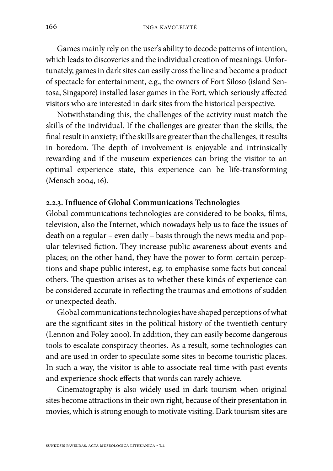Games mainly rely on the user's ability to decode patterns of intention, which leads to discoveries and the individual creation of meanings. Unfortunately, games in dark sites can easily cross the line and become a product of spectacle for entertainment, e.g., the owners of Fort Siloso (island Sentosa, Singapore) installed laser games in the Fort, which seriously affected visitors who are interested in dark sites from the historical perspective.

Notwithstanding this, the challenges of the activity must match the skills of the individual. If the challenges are greater than the skills, the final result in anxiety; if the skills are greater than the challenges, it results in boredom. The depth of involvement is enjoyable and intrinsically rewarding and if the museum experiences can bring the visitor to an optimal experience state, this experience can be life-transforming (Mensch 2004, 16).

#### **2.2.3. Influence of Global Communications Technologies**

Global communications technologies are considered to be books, films, television, also the Internet, which nowadays help us to face the issues of death on a regular – even daily – basis through the news media and popular televised fiction. They increase public awareness about events and places; on the other hand, they have the power to form certain perceptions and shape public interest, e.g. to emphasise some facts but conceal others. The question arises as to whether these kinds of experience can be considered accurate in reflecting the traumas and emotions of sudden or unexpected death.

Global communications technologies have shaped perceptions of what are the significant sites in the political history of the twentieth century (Lennon and Foley 2000). In addition, they can easily become dangerous tools to escalate conspiracy theories. As a result, some technologies can and are used in order to speculate some sites to become touristic places. In such a way, the visitor is able to associate real time with past events and experience shock effects that words can rarely achieve.

Cinematography is also widely used in dark tourism when original sites become attractions in their own right, because of their presentation in movies, which is strong enough to motivate visiting. Dark tourism sites are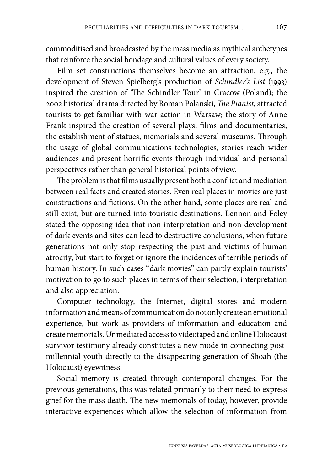commoditised and broadcasted by the mass media as mythical archetypes that reinforce the social bondage and cultural values of every society.

Film set constructions themselves become an attraction, e.g., the development of Steven Spielberg's production of *Schindler's List* (1993) inspired the creation of 'The Schindler Tour' in Cracow (Poland); the 2002 historical drama directed by Roman Polanski, *The Pianist*, attracted tourists to get familiar with war action in Warsaw; the story of Anne Frank inspired the creation of several plays, films and documentaries, the establishment of statues, memorials and several museums. Through the usage of global communications technologies, stories reach wider audiences and present horrific events through individual and personal perspectives rather than general historical points of view.

The problem is that films usually present both a conflict and mediation between real facts and created stories. Even real places in movies are just constructions and fictions. On the other hand, some places are real and still exist, but are turned into touristic destinations. Lennon and Foley stated the opposing idea that non-interpretation and non-development of dark events and sites can lead to destructive conclusions, when future generations not only stop respecting the past and victims of human atrocity, but start to forget or ignore the incidences of terrible periods of human history. In such cases "dark movies" can partly explain tourists' motivation to go to such places in terms of their selection, interpretation and also appreciation.

Computer technology, the Internet, digital stores and modern information and means of communication do not only create an emotional experience, but work as providers of information and education and create memorials. Unmediated access to videotaped and online Holocaust survivor testimony already constitutes a new mode in connecting postmillennial youth directly to the disappearing generation of Shoah (the Holocaust) eyewitness.

Social memory is created through contemporal changes. For the previous generations, this was related primarily to their need to express grief for the mass death. The new memorials of today, however, provide interactive experiences which allow the selection of information from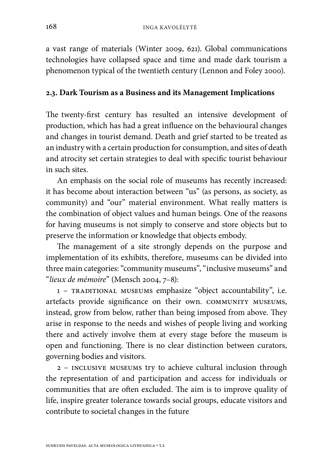a vast range of materials (Winter 2009, 621). Global communications technologies have collapsed space and time and made dark tourism a phenomenon typical of the twentieth century (Lennon and Foley 2000).

#### **2.3. Dark Tourism as a Business and its Management Implications**

The twenty-first century has resulted an intensive development of production, which has had a great influence on the behavioural changes and changes in tourist demand. Death and grief started to be treated as an industry with a certain production for consumption, and sites of death and atrocity set certain strategies to deal with specific tourist behaviour in such sites.

An emphasis on the social role of museums has recently increased: it has become about interaction between "us" (as persons, as society, as community) and "our" material environment. What really matters is the combination of object values and human beings. One of the reasons for having museums is not simply to conserve and store objects but to preserve the information or knowledge that objects embody.

The management of a site strongly depends on the purpose and implementation of its exhibits, therefore, museums can be divided into three main categories: "community museums", "inclusive museums" and "*lieux de mémoire*" (Mensch 2004, 7–8):

1 – traditional museums emphasize "object accountability", i.e. artefacts provide significance on their own. COMMUNITY MUSEUMS, instead, grow from below, rather than being imposed from above. They arise in response to the needs and wishes of people living and working there and actively involve them at every stage before the museum is open and functioning. There is no clear distinction between curators, governing bodies and visitors.

2 – inclusive museums try to achieve cultural inclusion through the representation of and participation and access for individuals or communities that are often excluded. The aim is to improve quality of life, inspire greater tolerance towards social groups, educate visitors and contribute to societal changes in the future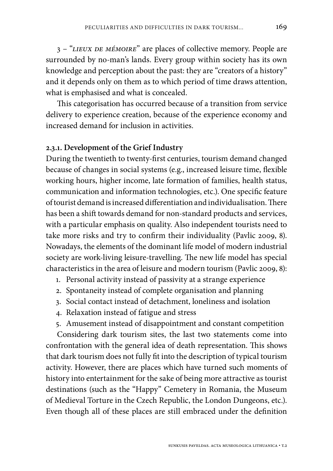3 – "*lieux de mémoire*" are places of collective memory. People are surrounded by no-man's lands. Every group within society has its own knowledge and perception about the past: they are "creators of a history" and it depends only on them as to which period of time draws attention, what is emphasised and what is concealed.

This categorisation has occurred because of a transition from service delivery to experience creation, because of the experience economy and increased demand for inclusion in activities.

### **2.3.1. Development of the Grief Industry**

During the twentieth to twenty-first centuries, tourism demand changed because of changes in social systems (e.g., increased leisure time, flexible working hours, higher income, late formation of families, health status, communication and information technologies, etc.). One specific feature of tourist demand is increased differentiation and individualisation. There has been a shift towards demand for non-standard products and services, with a particular emphasis on quality. Also independent tourists need to take more risks and try to confirm their individuality (Pavlic 2009, 8). Nowadays, the elements of the dominant life model of modern industrial society are work-living leisure-travelling. The new life model has special characteristics in the area of leisure and modern tourism (Pavlic 2009, 8):

- 1. Personal activity instead of passivity at a strange experience
- 2. Spontaneity instead of complete organisation and planning
- 3. Social contact instead of detachment, loneliness and isolation
- 4. Relaxation instead of fatigue and stress
- 5. Amusement instead of disappointment and constant competition

Considering dark tourism sites, the last two statements come into confrontation with the general idea of death representation. This shows that dark tourism does not fully fit into the description of typical tourism activity. However, there are places which have turned such moments of history into entertainment for the sake of being more attractive as tourist destinations (such as the "Happy" Cemetery in Romania, the Museum of Medieval Torture in the Czech Republic, the London Dungeons, etc.). Even though all of these places are still embraced under the definition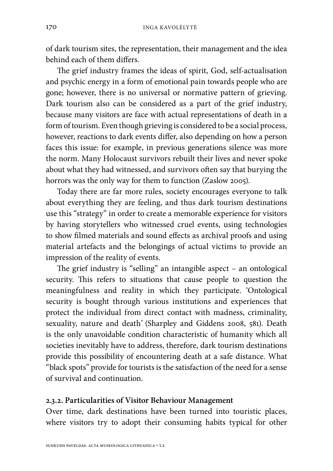of dark tourism sites, the representation, their management and the idea behind each of them differs.

The grief industry frames the ideas of spirit, God, self-actualisation and psychic energy in a form of emotional pain towards people who are gone; however, there is no universal or normative pattern of grieving. Dark tourism also can be considered as a part of the grief industry, because many visitors are face with actual representations of death in a form of tourism. Even though grieving is considered to be a social process, however, reactions to dark events differ, also depending on how a person faces this issue: for example, in previous generations silence was more the norm. Many Holocaust survivors rebuilt their lives and never spoke about what they had witnessed, and survivors often say that burying the horrors was the only way for them to function (Zaslow 2005).

Today there are far more rules, society encourages everyone to talk about everything they are feeling, and thus dark tourism destinations use this "strategy" in order to create a memorable experience for visitors by having storytellers who witnessed cruel events, using technologies to show filmed materials and sound effects as archival proofs and using material artefacts and the belongings of actual victims to provide an impression of the reality of events.

The grief industry is "selling" an intangible aspect – an ontological security. This refers to situations that cause people to question the meaningfulness and reality in which they participate. 'Ontological security is bought through various institutions and experiences that protect the individual from direct contact with madness, criminality, sexuality, nature and death' (Sharpley and Giddens 2008, 581). Death is the only unavoidable condition characteristic of humanity which all societies inevitably have to address, therefore, dark tourism destinations provide this possibility of encountering death at a safe distance. What "black spots" provide for tourists is the satisfaction of the need for a sense of survival and continuation.

#### **2.3.2. Particularities of Visitor Behaviour Management**

Over time, dark destinations have been turned into touristic places, where visitors try to adopt their consuming habits typical for other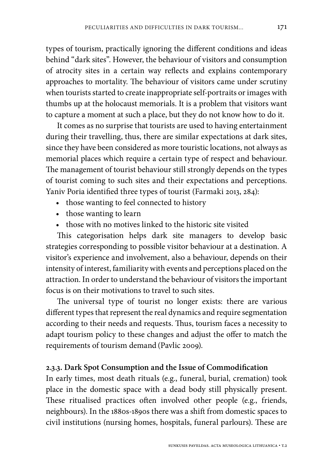types of tourism, practically ignoring the different conditions and ideas behind "dark sites". However, the behaviour of visitors and consumption of atrocity sites in a certain way reflects and explains contemporary approaches to mortality. The behaviour of visitors came under scrutiny when tourists started to create inappropriate self-portraits or images with thumbs up at the holocaust memorials. It is a problem that visitors want to capture a moment at such a place, but they do not know how to do it.

It comes as no surprise that tourists are used to having entertainment during their travelling, thus, there are similar expectations at dark sites, since they have been considered as more touristic locations, not always as memorial places which require a certain type of respect and behaviour. The management of tourist behaviour still strongly depends on the types of tourist coming to such sites and their expectations and perceptions. Yaniv Poria identified three types of tourist (Farmaki 2013, 284):

- those wanting to feel connected to history
- those wanting to learn
- those with no motives linked to the historic site visited

This categorisation helps dark site managers to develop basic strategies corresponding to possible visitor behaviour at a destination. A visitor's experience and involvement, also a behaviour, depends on their intensity of interest, familiarity with events and perceptions placed on the attraction. In order to understand the behaviour of visitors the important focus is on their motivations to travel to such sites.

The universal type of tourist no longer exists: there are various different types that represent the real dynamics and require segmentation according to their needs and requests. Thus, tourism faces a necessity to adapt tourism policy to these changes and adjust the offer to match the requirements of tourism demand (Pavlic 2009).

### **2.3.3. Dark Spot Consumption and the Issue of Commodification**

In early times, most death rituals (e.g., funeral, burial, cremation) took place in the domestic space with a dead body still physically present. These ritualised practices often involved other people (e.g., friends, neighbours). In the 1880s-1890s there was a shift from domestic spaces to civil institutions (nursing homes, hospitals, funeral parlours). These are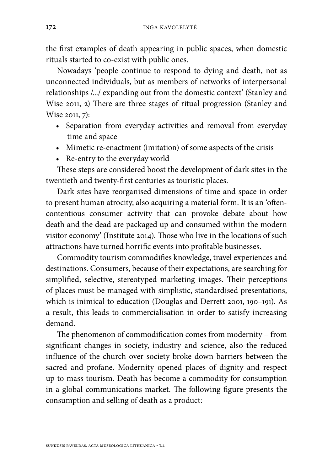the first examples of death appearing in public spaces, when domestic rituals started to co-exist with public ones.

Nowadays 'people continue to respond to dying and death, not as unconnected individuals, but as members of networks of interpersonal relationships /.../ expanding out from the domestic context' (Stanley and Wise 2011, 2) There are three stages of ritual progression (Stanley and Wise 2011, 7):

- Separation from everyday activities and removal from everyday time and space
- Mimetic re-enactment (imitation) of some aspects of the crisis
- Re-entry to the everyday world

These steps are considered boost the development of dark sites in the twentieth and twenty-first centuries as touristic places.

Dark sites have reorganised dimensions of time and space in order to present human atrocity, also acquiring a material form. It is an 'oftencontentious consumer activity that can provoke debate about how death and the dead are packaged up and consumed within the modern visitor economy' (Institute 2014). Those who live in the locations of such attractions have turned horrific events into profitable businesses.

Commodity tourism commodifies knowledge, travel experiences and destinations. Consumers, because of their expectations, are searching for simplified, selective, stereotyped marketing images. Their perceptions of places must be managed with simplistic, standardised presentations, which is inimical to education (Douglas and Derrett 2001, 190–191). As a result, this leads to commercialisation in order to satisfy increasing demand.

The phenomenon of commodification comes from modernity – from significant changes in society, industry and science, also the reduced influence of the church over society broke down barriers between the sacred and profane. Modernity opened places of dignity and respect up to mass tourism. Death has become a commodity for consumption in a global communications market. The following figure presents the consumption and selling of death as a product: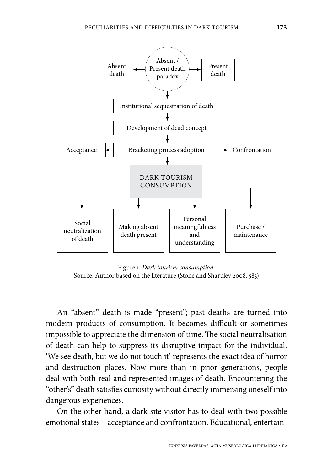

Figure 1. *Dark tourism consumption.*  Source: Author based on the literature (Stone and Sharpley 2008, 583)

An "absent" death is made "present"; past deaths are turned into modern products of consumption. It becomes difficult or sometimes impossible to appreciate the dimension of time. The social neutralisation of death can help to suppress its disruptive impact for the individual. 'We see death, but we do not touch it' represents the exact idea of horror and destruction places. Now more than in prior generations, people deal with both real and represented images of death. Encountering the "other's" death satisfies curiosity without directly immersing oneself into dangerous experiences.

On the other hand, a dark site visitor has to deal with two possible emotional states – acceptance and confrontation. Educational, entertain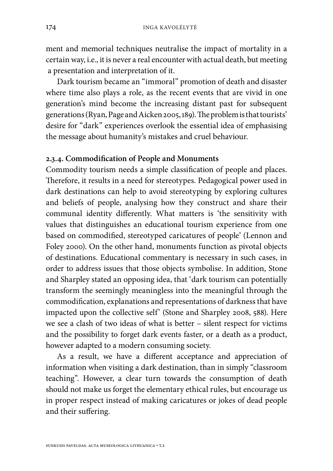ment and memorial techniques neutralise the impact of mortality in a certain way, i.e., it is never a real encounter with actual death, but meeting a presentation and interpretation of it.

Dark tourism became an "immoral" promotion of death and disaster where time also plays a role, as the recent events that are vivid in one generation's mind become the increasing distant past for subsequent generations (Ryan, Page and Aicken 2005, 189). The problem is that tourists' desire for "dark" experiences overlook the essential idea of emphasising the message about humanity's mistakes and cruel behaviour.

### **2.3.4. Commodification of People and Monuments**

Commodity tourism needs a simple classification of people and places. Therefore, it results in a need for stereotypes. Pedagogical power used in dark destinations can help to avoid stereotyping by exploring cultures and beliefs of people, analysing how they construct and share their communal identity differently. What matters is 'the sensitivity with values that distinguishes an educational tourism experience from one based on commodified, stereotyped caricatures of people' (Lennon and Foley 2000). On the other hand, monuments function as pivotal objects of destinations. Educational commentary is necessary in such cases, in order to address issues that those objects symbolise. In addition, Stone and Sharpley stated an opposing idea, that 'dark tourism can potentially transform the seemingly meaningless into the meaningful through the commodification, explanations and representations of darkness that have impacted upon the collective self' (Stone and Sharpley 2008, 588). Here we see a clash of two ideas of what is better – silent respect for victims and the possibility to forget dark events faster, or a death as a product, however adapted to a modern consuming society.

As a result, we have a different acceptance and appreciation of information when visiting a dark destination, than in simply "classroom teaching". However, a clear turn towards the consumption of death should not make us forget the elementary ethical rules, but encourage us in proper respect instead of making caricatures or jokes of dead people and their suffering.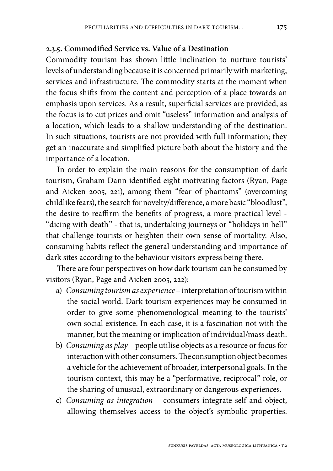#### **2.3.5. Commodified Service vs. Value of a Destination**

Commodity tourism has shown little inclination to nurture tourists' levels of understanding because it is concerned primarily with marketing, services and infrastructure. The commodity starts at the moment when the focus shifts from the content and perception of a place towards an emphasis upon services. As a result, superficial services are provided, as the focus is to cut prices and omit "useless" information and analysis of a location, which leads to a shallow understanding of the destination. In such situations, tourists are not provided with full information; they get an inaccurate and simplified picture both about the history and the importance of a location.

In order to explain the main reasons for the consumption of dark tourism, Graham Dann identified eight motivating factors (Ryan, Page and Aicken 2005, 221), among them "fear of phantoms" (overcoming childlike fears), the search for novelty/difference, a more basic "bloodlust", the desire to reaffirm the benefits of progress, a more practical level - "dicing with death" - that is, undertaking journeys or "holidays in hell" that challenge tourists or heighten their own sense of mortality. Also, consuming habits reflect the general understanding and importance of dark sites according to the behaviour visitors express being there.

There are four perspectives on how dark tourism can be consumed by visitors (Ryan, Page and Aicken 2005, 222):

- a) *Consuming tourism as experience* interpretation of tourism within the social world. Dark tourism experiences may be consumed in order to give some phenomenological meaning to the tourists' own social existence. In each case, it is a fascination not with the manner, but the meaning or implication of individual/mass death.
- b) *Consuming as play* people utilise objects as a resource or focus for interaction with other consumers. The consumption object becomes a vehicle for the achievement of broader, interpersonal goals. In the tourism context, this may be a "performative, reciprocal" role, or the sharing of unusual, extraordinary or dangerous experiences.
- c) *Consuming as integration* consumers integrate self and object, allowing themselves access to the object's symbolic properties.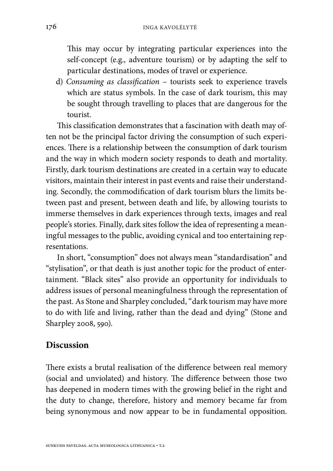This may occur by integrating particular experiences into the self-concept (e.g., adventure tourism) or by adapting the self to particular destinations, modes of travel or experience.

d) *Consuming as classification* – tourists seek to experience travels which are status symbols. In the case of dark tourism, this may be sought through travelling to places that are dangerous for the tourist.

This classification demonstrates that a fascination with death may often not be the principal factor driving the consumption of such experiences. There is a relationship between the consumption of dark tourism and the way in which modern society responds to death and mortality. Firstly, dark tourism destinations are created in a certain way to educate visitors, maintain their interest in past events and raise their understanding. Secondly, the commodification of dark tourism blurs the limits between past and present, between death and life, by allowing tourists to immerse themselves in dark experiences through texts, images and real people's stories. Finally, dark sites follow the idea of representing a meaningful messages to the public, avoiding cynical and too entertaining representations.

In short, "consumption" does not always mean "standardisation" and "stylisation", or that death is just another topic for the product of entertainment. "Black sites" also provide an opportunity for individuals to address issues of personal meaningfulness through the representation of the past. As Stone and Sharpley concluded, "dark tourism may have more to do with life and living, rather than the dead and dying" (Stone and Sharpley 2008, 590).

### **Discussion**

There exists a brutal realisation of the difference between real memory (social and unviolated) and history. The difference between those two has deepened in modern times with the growing belief in the right and the duty to change, therefore, history and memory became far from being synonymous and now appear to be in fundamental opposition.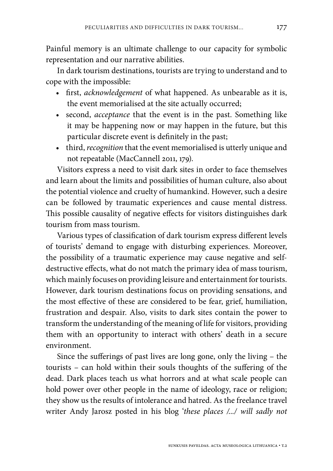Painful memory is an ultimate challenge to our capacity for symbolic representation and our narrative abilities.

In dark tourism destinations, tourists are trying to understand and to cope with the impossible:

- first, *acknowledgement* of what happened. As unbearable as it is, the event memorialised at the site actually occurred;
- second, *acceptance* that the event is in the past. Something like it may be happening now or may happen in the future, but this particular discrete event is definitely in the past;
- third, *recognition* that the event memorialised is utterly unique and not repeatable (MacCannell 2011, 179).

Visitors express a need to visit dark sites in order to face themselves and learn about the limits and possibilities of human culture, also about the potential violence and cruelty of humankind. However, such a desire can be followed by traumatic experiences and cause mental distress. This possible causality of negative effects for visitors distinguishes dark tourism from mass tourism.

Various types of classification of dark tourism express different levels of tourists' demand to engage with disturbing experiences. Moreover, the possibility of a traumatic experience may cause negative and selfdestructive effects, what do not match the primary idea of mass tourism, which mainly focuses on providing leisure and entertainment for tourists. However, dark tourism destinations focus on providing sensations, and the most effective of these are considered to be fear, grief, humiliation, frustration and despair. Also, visits to dark sites contain the power to transform the understanding of the meaning of life for visitors, providing them with an opportunity to interact with others' death in a secure environment.

Since the sufferings of past lives are long gone, only the living – the tourists – can hold within their souls thoughts of the suffering of the dead. Dark places teach us what horrors and at what scale people can hold power over other people in the name of ideology, race or religion; they show us the results of intolerance and hatred. As the freelance travel writer Andy Jarosz posted in his blog '*these places /.../ will sadly not*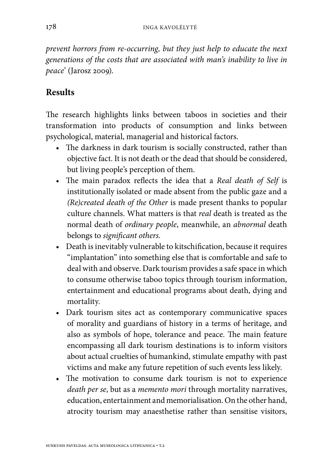*prevent horrors from re-occurring, but they just help to educate the next generations of the costs that are associated with man's inability to live in peace*' (Jarosz 2009).

## **Results**

The research highlights links between taboos in societies and their transformation into products of consumption and links between psychological, material, managerial and historical factors.

- The darkness in dark tourism is socially constructed, rather than objective fact. It is not death or the dead that should be considered, but living people's perception of them.
- The main paradox reflects the idea that a *Real death of Self* is institutionally isolated or made absent from the public gaze and a *(Re)created death of the Other* is made present thanks to popular culture channels. What matters is that *real* death is treated as the normal death of *ordinary people*, meanwhile, an *abnormal* death belongs to *significant others*.
- Death is inevitably vulnerable to kitschification, because it requires "implantation" into something else that is comfortable and safe to deal with and observe. Dark tourism provides a safe space in which to consume otherwise taboo topics through tourism information, entertainment and educational programs about death, dying and mortality.
- Dark tourism sites act as contemporary communicative spaces of morality and guardians of history in a terms of heritage, and also as symbols of hope, tolerance and peace. The main feature encompassing all dark tourism destinations is to inform visitors about actual cruelties of humankind, stimulate empathy with past victims and make any future repetition of such events less likely.
- The motivation to consume dark tourism is not to experience *death per se*, but as a *memento mori* through mortality narratives, education, entertainment and memorialisation. On the other hand, atrocity tourism may anaesthetise rather than sensitise visitors,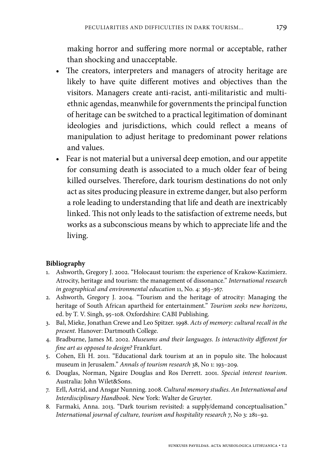making horror and suffering more normal or acceptable, rather than shocking and unacceptable.

- The creators, interpreters and managers of atrocity heritage are likely to have quite different motives and objectives than the visitors. Managers create anti-racist, anti-militaristic and multiethnic agendas, meanwhile for governments the principal function of heritage can be switched to a practical legitimation of dominant ideologies and jurisdictions, which could reflect a means of manipulation to adjust heritage to predominant power relations and values.
- Fear is not material but a universal deep emotion, and our appetite for consuming death is associated to a much older fear of being killed ourselves. Therefore, dark tourism destinations do not only act as sites producing pleasure in extreme danger, but also perform a role leading to understanding that life and death are inextricably linked. This not only leads to the satisfaction of extreme needs, but works as a subconscious means by which to appreciate life and the living.

### **Bibliography**

- 1. Ashworth, Gregory J. 2002. "Holocaust tourism: the experience of Krakow-Kazimierz. Atrocity, heritage and tourism: the management of dissonance." *International research in geographical and environmental education* 11, No. 4: 363–367.
- 2. Ashworth, Gregory J. 2004. "Tourism and the heritage of atrocity: Managing the heritage of South African apartheid for entertainment." *Tourism seeks new horizons*, ed. by T. V. Singh, 95–108. Oxfordshire: CABI Publishing.
- 3. Bal, Mieke, Jonathan Crewe and Leo Spitzer. 1998. *Acts of memory: cultural recall in the present.* Hanover: Dartmouth College.
- 4. Bradburne, James M. 2002. *Museums and their languages. Is interactivity different for fine art as opposed to design?* Frankfurt.
- 5. Cohen, Eli H. 2011. "Educational dark tourism at an in populo site. The holocaust museum in Jerusalem." *Annals of tourism research* 38, No 1: 193–209.
- 6. Douglas, Norman, Ngaire Douglas and Ros Derrett. 2001. *Special interest tourism*. Australia: John Wilet&Sons.
- 7. Erll, Astrid, and Ansgar Nunning. 2008. *Cultural memory studies*. *An International and Interdisciplinary Handbook.* New York: Walter de Gruyter.
- 8. Farmaki, Anna. 2013. "Dark tourism revisited: a supply/demand conceptualisation." *International journal of culture, tourism and hospitality research* 7, No 3: 281–92.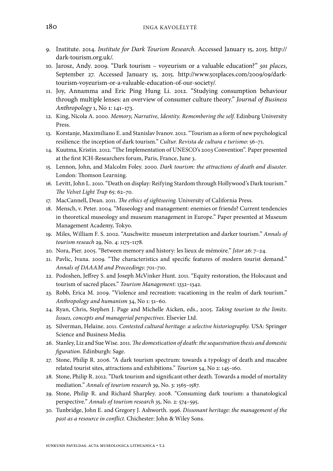- 9. Institute. 2014. *Institute for Dark Tourism Research*. Accessed January 15, 2015. [http://](http://dark-tourism.org.uk/) [dark-tourism.org.uk/](http://dark-tourism.org.uk/).
- 10. Jarosz, Andy. 2009. "Dark tourism voyeurism or a valuable education?" *501 places*, September 27. Accessed January 15, 2015. [http://www.501places.com/2009/09/dark](http://www.501places.com/2009/09/dark-tourism-voyeurism-or-a-valuable-education-of-our-society/)[tourism-voyeurism-or-a-valuable-education-of-our-society/](http://www.501places.com/2009/09/dark-tourism-voyeurism-or-a-valuable-education-of-our-society/).
- 11. Joy, Annamma and Eric Ping Hung Li. 2012. "Studying consumption behaviour through multiple lenses: an overview of consumer culture theory." *Journal of Business Anthropology* 1, No 1: 141–173.
- 12. King, Nicola A. 2000. *Memory, Narrative, Identity. Remembering the self*. Edinburg University Press.
- 13. Korstanje, Maximiliano E. and Stanislav Ivanov. 2012. "Tourism as a form of new psychological resilience: the inception of dark tourism." *Cultur. Revista de cultura e turismo*: 56–71.
- 14. Kuutma, Kristin. 2012. "The Implementation of UNESCO's 2003 Convention". Paper presented at the first ICH-Researchers forum, Paris, France, June 3.
- 15. Lennon, John, and Malcolm Foley. 2000. *Dark tourism: the attractions of death and disaster.*  London: Thomson Learning.
- 16. Levitt, John L. 2010. "Death on display: Reifying Stardom through Hollywood's Dark tourism." *The Velvet Light Trap* 65: 62–70.
- 17. MacCannell, Dean. 2011. *The ethics of sightseeing.* University of California Press.
- 18. Mensch, v. Peter. 2004. "Museology and management: enemies or friends? Current tendencies in theoretical museology and museum management in Europe." Paper presented at Museum Management Academy, Tokyo.
- 19. Miles, William F. S. 2002. "Auschwitz: museum interpretation and darker tourism." *Annals of tourism reseach* 29, No. 4: 1175–1178.
- 20. Nora, Pier. 2005. "Between memory and history: les lieux de mémoire." *Jstor* 26: 7–24.
- 21. Pavlic, Ivana. 2009. "The characteristics and specific features of modern tourist demand." *Annals of DAAAM and Proceedings*: 701–710.
- 22. Podoshen, Jeffrey S. and Joseph McVinker Hunt. 2011. "Equity restoration, the Holocaust and tourism of sacred places." *Tourism Management*: 1332–1342.
- 23. Robb, Erica M. 2009. "Violence and recreation: vacationing in the realm of dark tourism." *Anthropology and humanism* 34, No 1: 51–60.
- 24. Ryan, Chris, Stephen J. Page and Michelle Aicken, eds., 2005. *Taking tourism to the limits. Issues, concepts and managerial perspectives*. Elsevier Ltd.
- 25. Silverman, Helaine. 2011. *Contested cultural heritage: a selective historiography.* USA: Springer Science and Business Media.
- 26. Stanley, Liz and Sue Wise. 2011. *The domestication of death: the sequestration thesis and domestic figuration.* Edinburgh: Sage.
- 27. Stone, Philip R. 2006. "A dark tourism spectrum: towards a typology of death and macabre related tourist sites, attractions and exhibitions." *Tourism* 54, No 2: 145–160.
- 28. Stone, Philip R. 2012. "Dark tourism and significant other death. Towards a model of mortality mediation." *Annals of tourism research* 39, No. 3: 1565–1587.
- 29. Stone, Philip R. and Richard Sharpley. 2008. "Consuming dark tourism: a thanatological perspective." *Annals of tourism research* 35, No. 2: 574–595.
- 30. Tunbridge, John E. and Gregory J. Ashworth. 1996. *Dissonant heritage: the management of the past as a resource in conflict*. Chichester: John & Wiley Sons.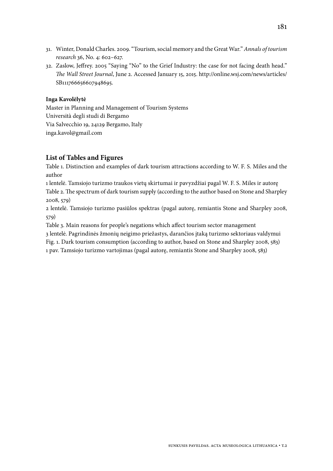- 31. Winter, Donald Charles. 2009. "Tourism, social memory and the Great War." *Annals of tourism research* 36, No. 4: 602–627.
- 32. Zaslow, Jeffrey. 2005 "Saying "No" to the Grief Industry: the case for not facing death head." *The Wall Street Journal*, June 2. Accessed January 15, 2015. http://online.wsj.com/news/articles/ SB111766656607948695.

#### **Inga Kavolėlytė**

Master in Planning and Management of Tourism Systems Università degli studi di Bergamo Via Salvecchio 19, 24129 Bergamo, Italy [inga.kavol@gmail.com](mailto:inga.kavol@gmail.com)

#### **List of Tables and Figures**

Table 1. Distinction and examples of dark tourism attractions according to W. F. S. Miles and the author

1 lentelė. Tamsiojo turizmo traukos vietų skirtumai ir pavyzdžiai pagal W. F. S. Miles ir autorę

Table 2. The spectrum of dark tourism supply (according to the author based on Stone and Sharpley 2008, 579)

2 lentelė. Tamsiojo turizmo pasiūlos spektras (pagal autorę, remiantis Stone and Sharpley 2008, 579)

Table 3. Main reasons for people's negations which affect tourism sector management 3 lentelė. Pagrindinės žmonių neigimo priežastys, darančios įtaką turizmo sektoriaus valdymui Fig. 1. Dark tourism consumption (according to author, based on Stone and Sharpley 2008, 583)

1 pav. Tamsiojo turizmo vartojimas (pagal autorę, remiantis Stone and Sharpley 2008, 583)